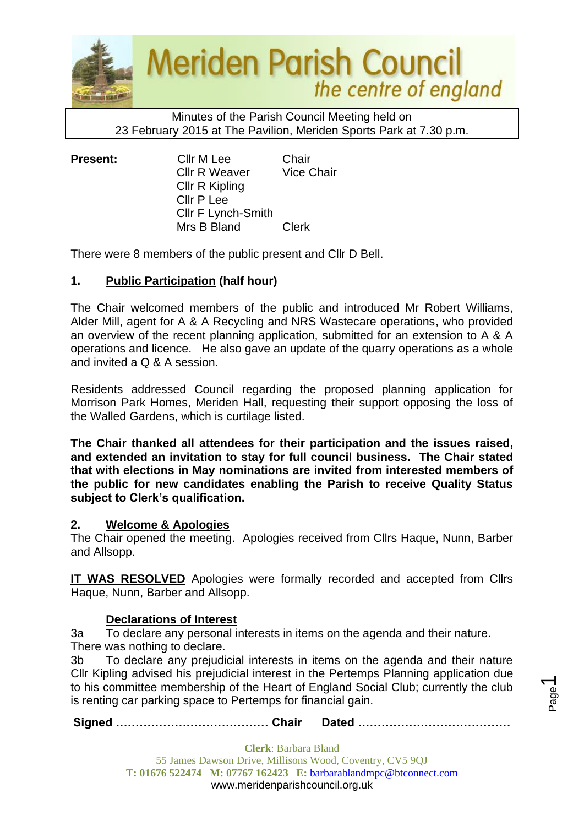

Minutes of the Parish Council Meeting held on 23 February 2015 at The Pavilion, Meriden Sports Park at 7.30 p.m.

**Present:** Cllr M Lee Chair Cllr R Weaver Vice Chair Cllr R Kipling Cllr P Lee Cllr F Lynch-Smith Mrs B Bland Clerk

There were 8 members of the public present and Cllr D Bell.

# **1. Public Participation (half hour)**

The Chair welcomed members of the public and introduced Mr Robert Williams, Alder Mill, agent for A & A Recycling and NRS Wastecare operations, who provided an overview of the recent planning application, submitted for an extension to A & A operations and licence. He also gave an update of the quarry operations as a whole and invited a Q & A session.

Residents addressed Council regarding the proposed planning application for Morrison Park Homes, Meriden Hall, requesting their support opposing the loss of the Walled Gardens, which is curtilage listed.

**The Chair thanked all attendees for their participation and the issues raised, and extended an invitation to stay for full council business. The Chair stated that with elections in May nominations are invited from interested members of the public for new candidates enabling the Parish to receive Quality Status subject to Clerk's qualification.**

# **2. Welcome & Apologies**

The Chair opened the meeting. Apologies received from Cllrs Haque, Nunn, Barber and Allsopp.

**IT WAS RESOLVED** Apologies were formally recorded and accepted from Cllrs Haque, Nunn, Barber and Allsopp.

# **Declarations of Interest**

3a To declare any personal interests in items on the agenda and their nature. There was nothing to declare.

3b To declare any prejudicial interests in items on the agenda and their nature Cllr Kipling advised his prejudicial interest in the Pertemps Planning application due to his committee membership of the Heart of England Social Club; currently the club is renting car parking space to Pertemps for financial gain.

Page  $\overline{\phantom{0}}$ 

**Signed ………………………………… Chair Dated …………………………………**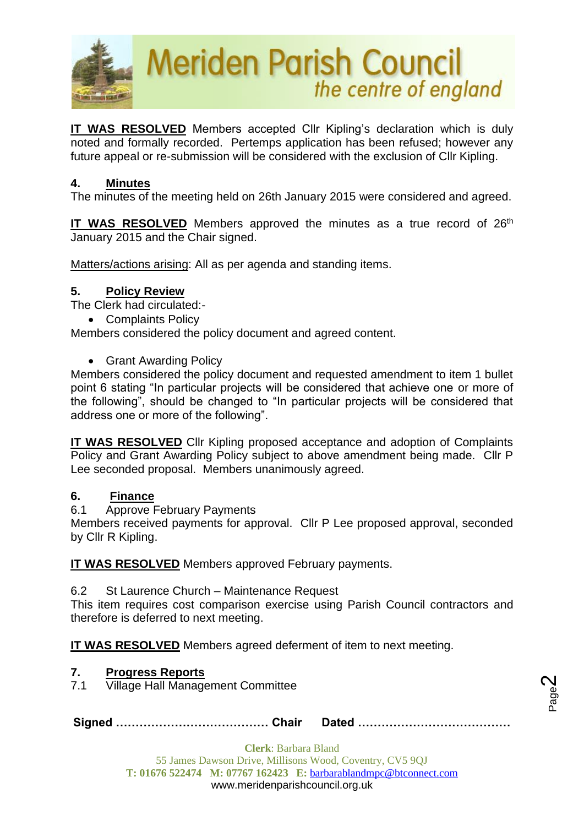

**IT WAS RESOLVED** Members accepted Cllr Kipling's declaration which is duly noted and formally recorded. Pertemps application has been refused; however any future appeal or re-submission will be considered with the exclusion of Cllr Kipling.

# **4. Minutes**

The minutes of the meeting held on 26th January 2015 were considered and agreed.

**IT WAS RESOLVED** Members approved the minutes as a true record of 26<sup>th</sup> January 2015 and the Chair signed.

Matters/actions arising: All as per agenda and standing items.

# **5. Policy Review**

The Clerk had circulated:-

• Complaints Policy

Members considered the policy document and agreed content.

• Grant Awarding Policy

Members considered the policy document and requested amendment to item 1 bullet point 6 stating "In particular projects will be considered that achieve one or more of the following", should be changed to "In particular projects will be considered that address one or more of the following".

**IT WAS RESOLVED** Cllr Kipling proposed acceptance and adoption of Complaints Policy and Grant Awarding Policy subject to above amendment being made. Cllr P Lee seconded proposal. Members unanimously agreed.

# **6. Finance**

6.1 Approve February Payments

Members received payments for approval. Cllr P Lee proposed approval, seconded by Cllr R Kipling.

**IT WAS RESOLVED** Members approved February payments.

6.2 St Laurence Church – Maintenance Request

This item requires cost comparison exercise using Parish Council contractors and therefore is deferred to next meeting.

**IT WAS RESOLVED** Members agreed deferment of item to next meeting.

# **7. Progress Reports**

7.1 Village Hall Management Committee

**Signed ………………………………… Chair Dated …………………………………**

Page  $\boldsymbol{\sim}$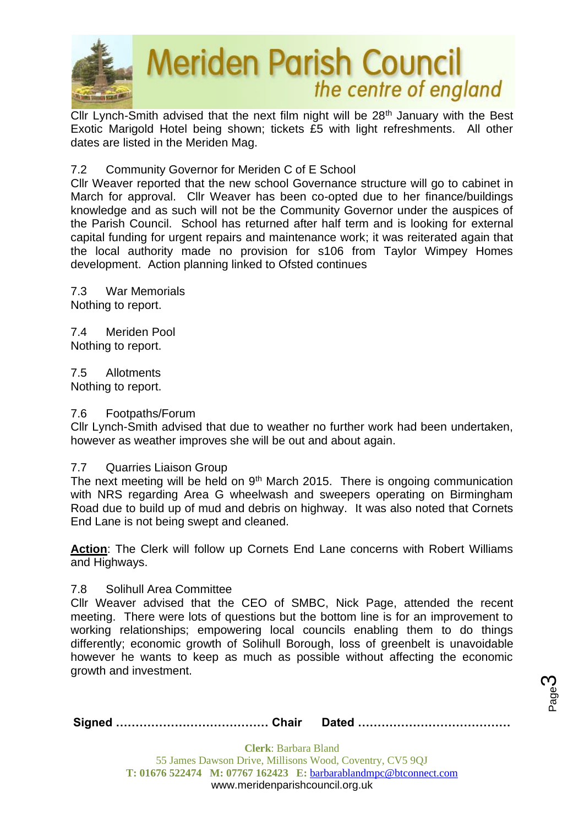

Cllr Lynch-Smith advised that the next film night will be 28<sup>th</sup> January with the Best Exotic Marigold Hotel being shown; tickets £5 with light refreshments. All other dates are listed in the Meriden Mag.

7.2 Community Governor for Meriden C of E School

Cllr Weaver reported that the new school Governance structure will go to cabinet in March for approval. Cllr Weaver has been co-opted due to her finance/buildings knowledge and as such will not be the Community Governor under the auspices of the Parish Council. School has returned after half term and is looking for external capital funding for urgent repairs and maintenance work; it was reiterated again that the local authority made no provision for s106 from Taylor Wimpey Homes development. Action planning linked to Ofsted continues

7.3 War Memorials Nothing to report.

7.4 Meriden Pool Nothing to report.

7.5 Allotments Nothing to report.

#### 7.6 Footpaths/Forum

Cllr Lynch-Smith advised that due to weather no further work had been undertaken, however as weather improves she will be out and about again.

#### 7.7 Quarries Liaison Group

The next meeting will be held on 9<sup>th</sup> March 2015. There is ongoing communication with NRS regarding Area G wheelwash and sweepers operating on Birmingham Road due to build up of mud and debris on highway. It was also noted that Cornets End Lane is not being swept and cleaned.

**Action**: The Clerk will follow up Cornets End Lane concerns with Robert Williams and Highways.

#### 7.8 Solihull Area Committee

Cllr Weaver advised that the CEO of SMBC, Nick Page, attended the recent meeting. There were lots of questions but the bottom line is for an improvement to working relationships; empowering local councils enabling them to do things differently; economic growth of Solihull Borough, loss of greenbelt is unavoidable however he wants to keep as much as possible without affecting the economic growth and investment.

**Signed ………………………………… Chair Dated …………………………………**

Page ო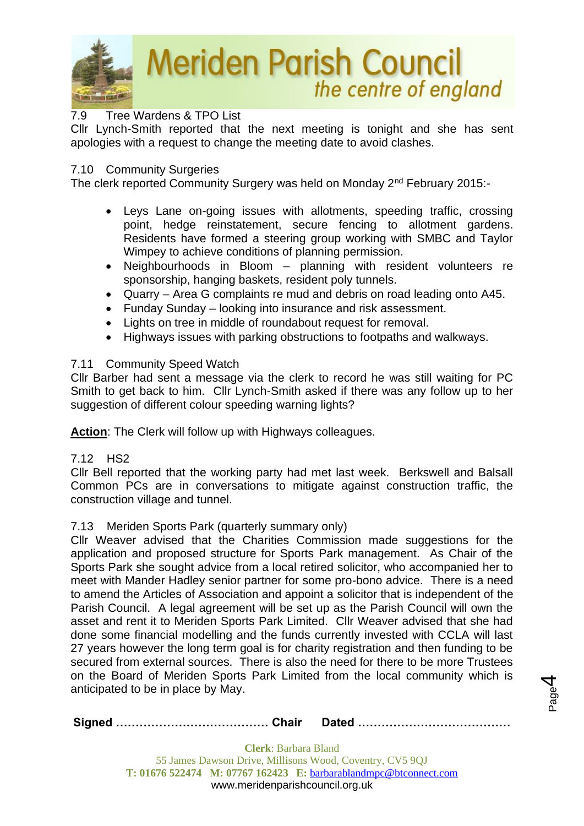

# 7.9 Tree Wardens & TPO List

Cllr Lynch-Smith reported that the next meeting is tonight and she has sent apologies with a request to change the meeting date to avoid clashes.

#### 7.10 Community Surgeries

The clerk reported Community Surgery was held on Monday 2nd February 2015:-

- Leys Lane on-going issues with allotments, speeding traffic, crossing point, hedge reinstatement, secure fencing to allotment gardens. Residents have formed a steering group working with SMBC and Taylor Wimpey to achieve conditions of planning permission.
- Neighbourhoods in Bloom planning with resident volunteers re sponsorship, hanging baskets, resident poly tunnels.
- Quarry Area G complaints re mud and debris on road leading onto A45.
- Funday Sunday looking into insurance and risk assessment.
- Lights on tree in middle of roundabout request for removal.
- Highways issues with parking obstructions to footpaths and walkways.

# 7.11 Community Speed Watch

Cllr Barber had sent a message via the clerk to record he was still waiting for PC Smith to get back to him. Cllr Lynch-Smith asked if there was any follow up to her suggestion of different colour speeding warning lights?

**Action**: The Clerk will follow up with Highways colleagues.

#### 7.12 HS2

Cllr Bell reported that the working party had met last week. Berkswell and Balsall Common PCs are in conversations to mitigate against construction traffic, the construction village and tunnel.

# 7.13Meriden Sports Park (quarterly summary only)

Cllr Weaver advised that the Charities Commission made suggestions for the application and proposed structure for Sports Park management. As Chair of the Sports Park she sought advice from a local retired solicitor, who accompanied her to meet with Mander Hadley senior partner for some pro-bono advice. There is a need to amend the Articles of Association and appoint a solicitor that is independent of the Parish Council. A legal agreement will be set up as the Parish Council will own the asset and rent it to Meriden Sports Park Limited. Cllr Weaver advised that she had done some financial modelling and the funds currently invested with CCLA will last 27 years however the long term goal is for charity registration and then funding to be secured from external sources. There is also the need for there to be more Trustees on the Board of Meriden Sports Park Limited from the local community which is anticipated to be in place by May.

|--|--|

Page 4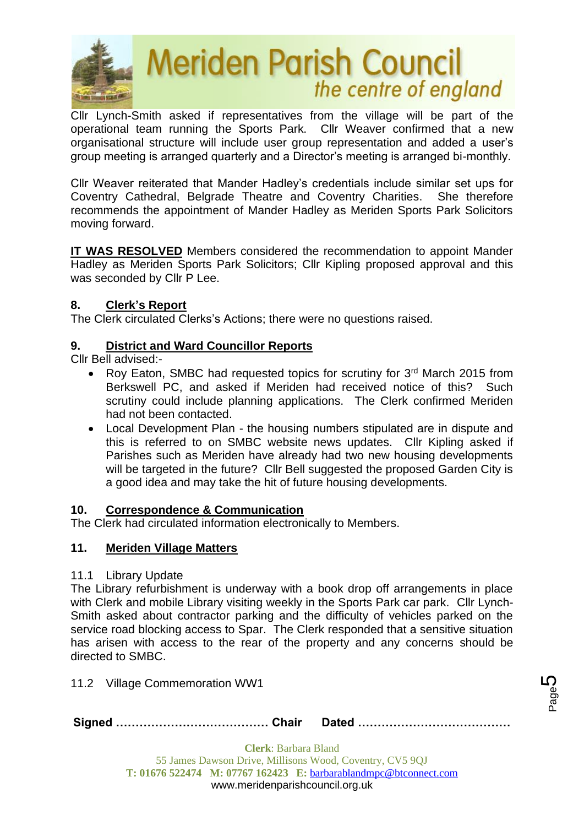

Cllr Lynch-Smith asked if representatives from the village will be part of the operational team running the Sports Park. Cllr Weaver confirmed that a new organisational structure will include user group representation and added a user's group meeting is arranged quarterly and a Director's meeting is arranged bi-monthly.

Cllr Weaver reiterated that Mander Hadley's credentials include similar set ups for Coventry Cathedral, Belgrade Theatre and Coventry Charities. She therefore recommends the appointment of Mander Hadley as Meriden Sports Park Solicitors moving forward.

**IT WAS RESOLVED** Members considered the recommendation to appoint Mander Hadley as Meriden Sports Park Solicitors; Cllr Kipling proposed approval and this was seconded by Cllr P Lee.

# **8. Clerk's Report**

The Clerk circulated Clerks's Actions; there were no questions raised.

# **9. District and Ward Councillor Reports**

Cllr Bell advised:-

- Roy Eaton, SMBC had requested topics for scrutiny for 3<sup>rd</sup> March 2015 from Berkswell PC, and asked if Meriden had received notice of this? Such scrutiny could include planning applications. The Clerk confirmed Meriden had not been contacted.
- Local Development Plan the housing numbers stipulated are in dispute and this is referred to on SMBC website news updates. Cllr Kipling asked if Parishes such as Meriden have already had two new housing developments will be targeted in the future? Cllr Bell suggested the proposed Garden City is a good idea and may take the hit of future housing developments.

# **10. Correspondence & Communication**

The Clerk had circulated information electronically to Members.

# **11. Meriden Village Matters**

# 11.1 Library Update

The Library refurbishment is underway with a book drop off arrangements in place with Clerk and mobile Library visiting weekly in the Sports Park car park. Cllr Lynch-Smith asked about contractor parking and the difficulty of vehicles parked on the service road blocking access to Spar. The Clerk responded that a sensitive situation has arisen with access to the rear of the property and any concerns should be directed to SMBC.

11.2 Village Commemoration WW1

**Signed ………………………………… Chair Dated …………………………………**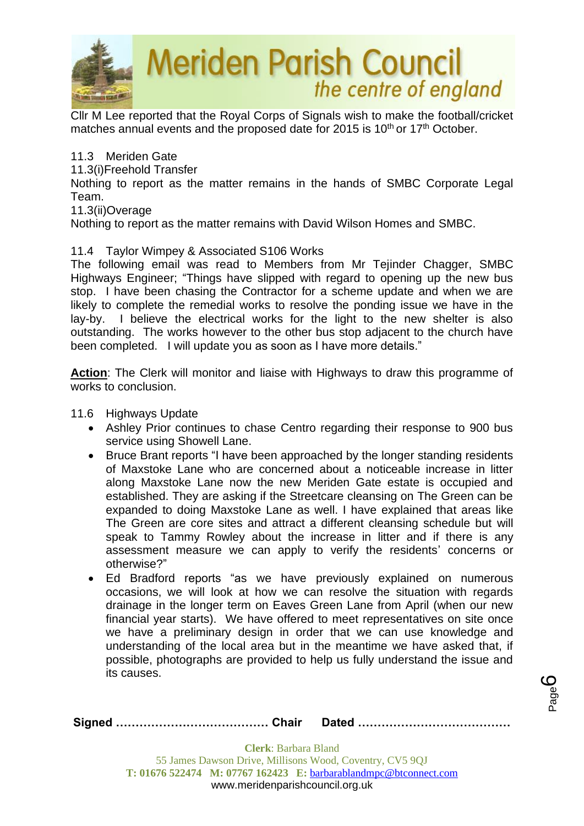

Cllr M Lee reported that the Royal Corps of Signals wish to make the football/cricket matches annual events and the proposed date for 2015 is 10<sup>th</sup> or 17<sup>th</sup> October.

# 11.3 Meriden Gate

11.3(i)Freehold Transfer

Nothing to report as the matter remains in the hands of SMBC Corporate Legal Team.

#### 11.3(ii)Overage

Nothing to report as the matter remains with David Wilson Homes and SMBC.

# 11.4 Taylor Wimpey & Associated S106 Works

The following email was read to Members from Mr Tejinder Chagger, SMBC Highways Engineer; "Things have slipped with regard to opening up the new bus stop. I have been chasing the Contractor for a scheme update and when we are likely to complete the remedial works to resolve the ponding issue we have in the lay-by. I believe the electrical works for the light to the new shelter is also outstanding. The works however to the other bus stop adjacent to the church have been completed. I will update you as soon as I have more details."

**Action**: The Clerk will monitor and liaise with Highways to draw this programme of works to conclusion.

- 11.6 Highways Update
	- Ashley Prior continues to chase Centro regarding their response to 900 bus service using Showell Lane.
	- Bruce Brant reports "I have been approached by the longer standing residents of Maxstoke Lane who are concerned about a noticeable increase in litter along Maxstoke Lane now the new Meriden Gate estate is occupied and established. They are asking if the Streetcare cleansing on The Green can be expanded to doing Maxstoke Lane as well. I have explained that areas like The Green are core sites and attract a different cleansing schedule but will speak to Tammy Rowley about the increase in litter and if there is any assessment measure we can apply to verify the residents' concerns or otherwise?"
	- Ed Bradford reports "as we have previously explained on numerous occasions, we will look at how we can resolve the situation with regards drainage in the longer term on Eaves Green Lane from April (when our new financial year starts). We have offered to meet representatives on site once we have a preliminary design in order that we can use knowledge and understanding of the local area but in the meantime we have asked that, if possible, photographs are provided to help us fully understand the issue and its causes.

Page ပ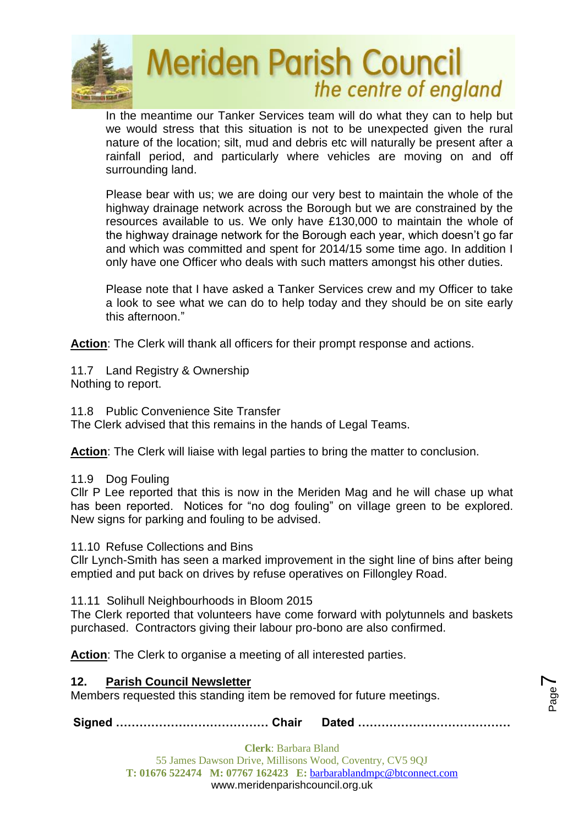

In the meantime our Tanker Services team will do what they can to help but we would stress that this situation is not to be unexpected given the rural nature of the location; silt, mud and debris etc will naturally be present after a rainfall period, and particularly where vehicles are moving on and off surrounding land.

Please bear with us; we are doing our very best to maintain the whole of the highway drainage network across the Borough but we are constrained by the resources available to us. We only have £130,000 to maintain the whole of the highway drainage network for the Borough each year, which doesn't go far and which was committed and spent for 2014/15 some time ago. In addition I only have one Officer who deals with such matters amongst his other duties.

Please note that I have asked a Tanker Services crew and my Officer to take a look to see what we can do to help today and they should be on site early this afternoon."

**Action**: The Clerk will thank all officers for their prompt response and actions.

11.7 Land Registry & Ownership Nothing to report.

11.8 Public Convenience Site Transfer

The Clerk advised that this remains in the hands of Legal Teams.

**Action:** The Clerk will liaise with legal parties to bring the matter to conclusion.

11.9 Dog Fouling

Cllr P Lee reported that this is now in the Meriden Mag and he will chase up what has been reported. Notices for "no dog fouling" on village green to be explored. New signs for parking and fouling to be advised.

11.10 Refuse Collections and Bins

Cllr Lynch-Smith has seen a marked improvement in the sight line of bins after being emptied and put back on drives by refuse operatives on Fillongley Road.

11.11 Solihull Neighbourhoods in Bloom 2015

The Clerk reported that volunteers have come forward with polytunnels and baskets purchased. Contractors giving their labour pro-bono are also confirmed.

**Action**: The Clerk to organise a meeting of all interested parties.

# **12. Parish Council Newsletter**

Members requested this standing item be removed for future meetings.

**Signed ………………………………… Chair Dated …………………………………**

Page  $\blacktriangleright$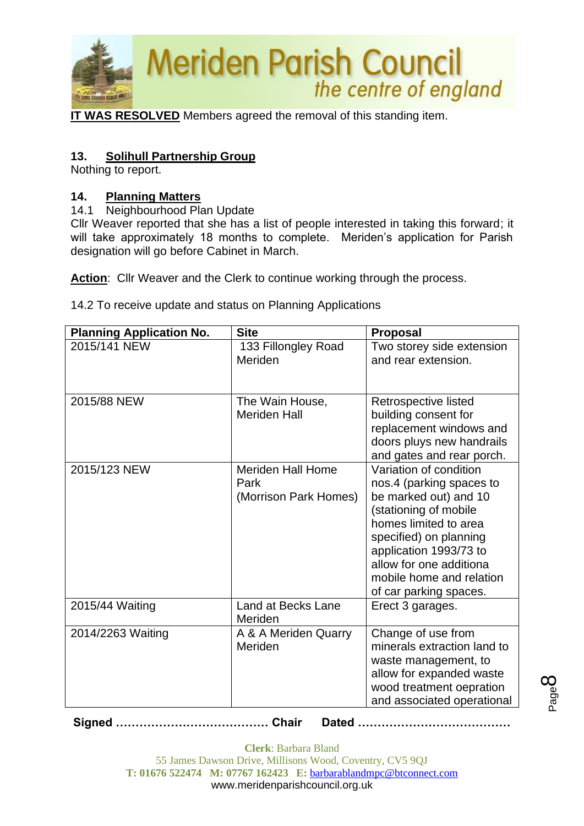

**IT WAS RESOLVED** Members agreed the removal of this standing item.

# **13. Solihull Partnership Group**

Nothing to report.

# **14. Planning Matters**

14.1 Neighbourhood Plan Update

Cllr Weaver reported that she has a list of people interested in taking this forward; it will take approximately 18 months to complete. Meriden's application for Parish designation will go before Cabinet in March.

Action: Cllr Weaver and the Clerk to continue working through the process.

14.2 To receive update and status on Planning Applications

| <b>Planning Application No.</b> | <b>Site</b>              | <b>Proposal</b>             |
|---------------------------------|--------------------------|-----------------------------|
| 2015/141 NEW                    | 133 Fillongley Road      | Two storey side extension   |
|                                 | Meriden                  | and rear extension.         |
|                                 |                          |                             |
|                                 |                          |                             |
| 2015/88 NEW                     | The Wain House,          | Retrospective listed        |
|                                 | <b>Meriden Hall</b>      | building consent for        |
|                                 |                          | replacement windows and     |
|                                 |                          | doors pluys new handrails   |
|                                 |                          | and gates and rear porch.   |
| 2015/123 NEW                    | <b>Meriden Hall Home</b> | Variation of condition      |
|                                 | Park                     | nos.4 (parking spaces to    |
|                                 | (Morrison Park Homes)    | be marked out) and 10       |
|                                 |                          | (stationing of mobile       |
|                                 |                          | homes limited to area       |
|                                 |                          | specified) on planning      |
|                                 |                          | application 1993/73 to      |
|                                 |                          | allow for one additiona     |
|                                 |                          | mobile home and relation    |
|                                 |                          | of car parking spaces.      |
| 2015/44 Waiting                 | Land at Becks Lane       | Erect 3 garages.            |
|                                 | Meriden                  |                             |
| 2014/2263 Waiting               | A & A Meriden Quarry     | Change of use from          |
|                                 | Meriden                  | minerals extraction land to |
|                                 |                          | waste management, to        |
|                                 |                          | allow for expanded waste    |
|                                 |                          | wood treatment oepration    |
|                                 |                          | and associated operational  |

**Signed ………………………………… Chair Dated …………………………………**

**Clerk**: Barbara Bland 55 James Dawson Drive, Millisons Wood, Coventry, CV5 9QJ **T: 01676 522474 M: 07767 162423 E:** [barbarablandmpc@btconnect.com](mailto:barbarablandmpc@btconnect.com) www.meridenparishcouncil.org.uk

Page  $\infty$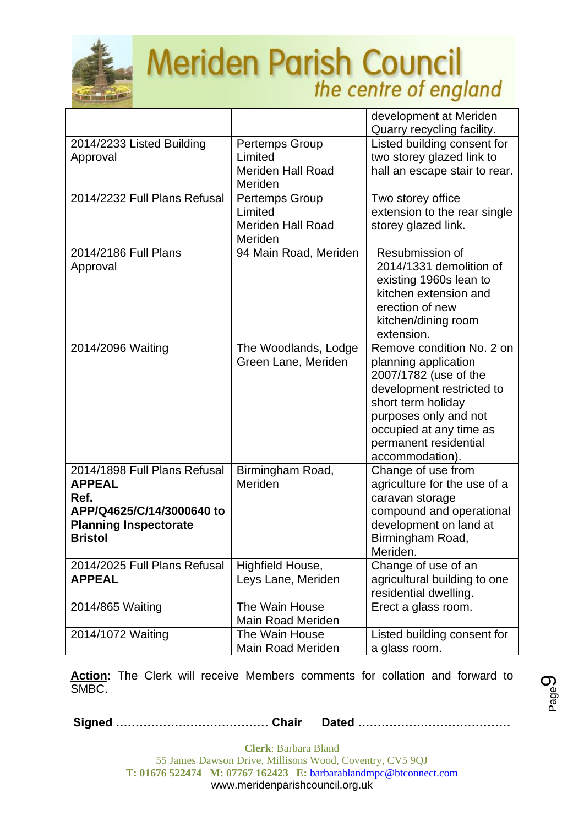

|                                                                                                                                      |                                                                  | development at Meriden<br>Quarry recycling facility.                                                                                                                                                                          |
|--------------------------------------------------------------------------------------------------------------------------------------|------------------------------------------------------------------|-------------------------------------------------------------------------------------------------------------------------------------------------------------------------------------------------------------------------------|
| 2014/2233 Listed Building<br>Approval                                                                                                | Pertemps Group<br>Limited<br><b>Meriden Hall Road</b><br>Meriden | Listed building consent for<br>two storey glazed link to<br>hall an escape stair to rear.                                                                                                                                     |
| 2014/2232 Full Plans Refusal                                                                                                         | Pertemps Group<br>Limited<br><b>Meriden Hall Road</b><br>Meriden | Two storey office<br>extension to the rear single<br>storey glazed link.                                                                                                                                                      |
| 2014/2186 Full Plans<br>Approval                                                                                                     | 94 Main Road, Meriden                                            | Resubmission of<br>2014/1331 demolition of<br>existing 1960s lean to<br>kitchen extension and<br>erection of new<br>kitchen/dining room<br>extension.                                                                         |
| 2014/2096 Waiting                                                                                                                    | The Woodlands, Lodge<br>Green Lane, Meriden                      | Remove condition No. 2 on<br>planning application<br>2007/1782 (use of the<br>development restricted to<br>short term holiday<br>purposes only and not<br>occupied at any time as<br>permanent residential<br>accommodation). |
| 2014/1898 Full Plans Refusal<br><b>APPEAL</b><br>Ref.<br>APP/Q4625/C/14/3000640 to<br><b>Planning Inspectorate</b><br><b>Bristol</b> | Birmingham Road,<br>Meriden                                      | Change of use from<br>agriculture for the use of a<br>caravan storage<br>compound and operational<br>development on land at<br>Birmingham Road,<br>Meriden.                                                                   |
| 2014/2025 Full Plans Refusal<br><b>APPEAL</b>                                                                                        | Highfield House,<br>Leys Lane, Meriden                           | Change of use of an<br>agricultural building to one<br>residential dwelling.                                                                                                                                                  |
| 2014/865 Waiting                                                                                                                     | The Wain House<br><b>Main Road Meriden</b>                       | Erect a glass room.                                                                                                                                                                                                           |
| 2014/1072 Waiting                                                                                                                    | The Wain House<br>Main Road Meriden                              | Listed building consent for<br>a glass room.                                                                                                                                                                                  |

**Action:** The Clerk will receive Members comments for collation and forward to SMBC.

**Signed ………………………………… Chair Dated …………………………………**

Page ග